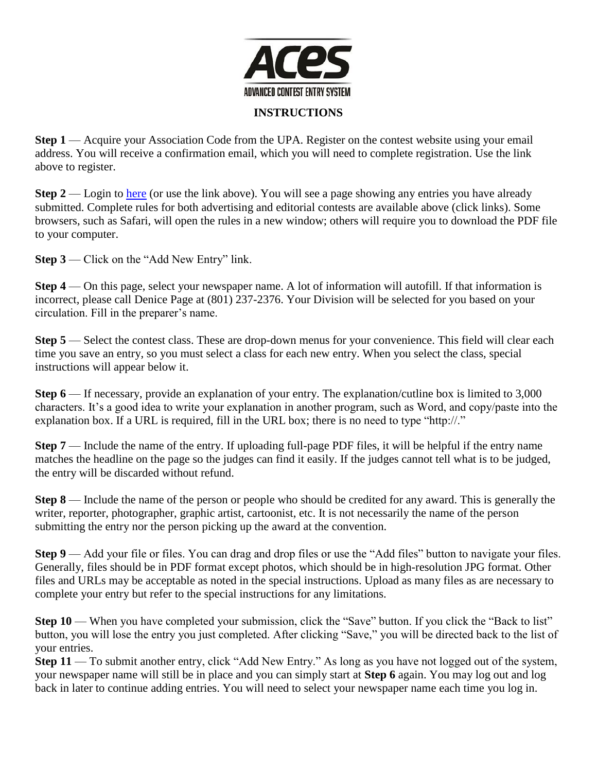

## **INSTRUCTIONS**

**Step 1** — Acquire your Association Code from the UPA. Register on the contest website using your email address. You will receive a confirmation email, which you will need to complete registration. Use the link above to register.

**Step 2** — Login to [here](http://www.newspapercontest.com/utah/newspaper/login.php) (or use the link above). You will see a page showing any entries you have already submitted. Complete rules for both advertising and editorial contests are available above (click links). Some browsers, such as Safari, will open the rules in a new window; others will require you to download the PDF file to your computer.

**Step 3** — Click on the "Add New Entry" link.

**Step 4** — On this page, select your newspaper name. A lot of information will autofill. If that information is incorrect, please call Denice Page at (801) 237-2376. Your Division will be selected for you based on your circulation. Fill in the preparer's name.

**Step 5** — Select the contest class. These are drop-down menus for your convenience. This field will clear each time you save an entry, so you must select a class for each new entry. When you select the class, special instructions will appear below it.

**Step 6** — If necessary, provide an explanation of your entry. The explanation/cutline box is limited to 3,000 characters. It's a good idea to write your explanation in another program, such as Word, and copy/paste into the explanation box. If a URL is required, fill in the URL box; there is no need to type "http://."

**Step 7** — Include the name of the entry. If uploading full-page PDF files, it will be helpful if the entry name matches the headline on the page so the judges can find it easily. If the judges cannot tell what is to be judged, the entry will be discarded without refund.

**Step 8** — Include the name of the person or people who should be credited for any award. This is generally the writer, reporter, photographer, graphic artist, cartoonist, etc. It is not necessarily the name of the person submitting the entry nor the person picking up the award at the convention.

**Step 9** — Add your file or files. You can drag and drop files or use the "Add files" button to navigate your files. Generally, files should be in PDF format except photos, which should be in high-resolution JPG format. Other files and URLs may be acceptable as noted in the special instructions. Upload as many files as are necessary to complete your entry but refer to the special instructions for any limitations.

**Step 10** — When you have completed your submission, click the "Save" button. If you click the "Back to list" button, you will lose the entry you just completed. After clicking "Save," you will be directed back to the list of your entries.

**Step 11** — To submit another entry, click "Add New Entry." As long as you have not logged out of the system, your newspaper name will still be in place and you can simply start at **Step 6** again. You may log out and log back in later to continue adding entries. You will need to select your newspaper name each time you log in.